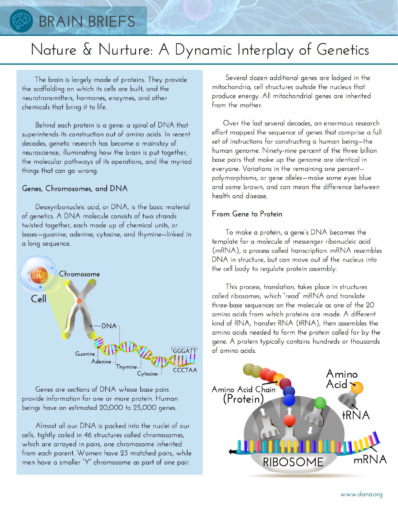# BRAIN BRIEFS

# Nature & Nurture: A Dynamic Interplay of Genetics

The brain is largely made of proteins. They provide the scaffolding on which its cells are built, and the neurotransmitters, hormones, enzymes, and other chemicals that bring it to life.

Behind each protein is a gene: a spiral of DNA that superintends its construction out of amino acids. In recent decades, genetic research has become a mainstay of neuroscience, illuminating how the brain is put together, the molecular pathways of its operations, and the myriad things that can go wrong.

### Genes, Chromosomes, and DNA

Deoxyribonucleic acid, or DNA, is the basic material of genetics. A DNA molecule consists of two strands twisted together, each made up of chemical units, or bases-quanine, adenine, cytosine, and thymine-linked in a long sequence.



Genes are sections of DNA whose base pairs provide information for one or more protein. Human beings have an estimated 20,000 to 25,000 genes.

Almost all our DNA is packed into the nuclei of our cells, tightly coiled in 46 structures called chromosomes, which are arrayed in pairs, one chromosome inherited from each parent. Women have 23 matched pairs, while men have a smaller "Y" chromosome as part of one pair.

Several dozen additional genes are lodged in the mitochondria, cell structures outside the nucleus that produce energy. All mitochondrial genes are inherited from the mother.

Over the last several decades, an enormous research effort mapped the sequence of genes that comprise a full set of instructions for constructing a human being-the human genome. Ninety-nine percent of the three billion base pairs that make up the genome are identical in everyone. Variations in the remaining one percentpolymorphisms, or gene alleles-make some eyes blue and some brown, and can mean the difference between health and disease.

## From Gene to Protein

To make a protein, a gene's DNA becomes the template for a molecule of messenger ribonucleic acid (mRNA), a process called transcription. mRNA resembles DNA in structure, but can move out of the nucleus into the cell body to regulate protein assembly.

This process, translation, takes place in structures called ribosomes, which "read" mRNA and translate three-base sequences on the molecule as one of the 20 amino acids from which proteins are made. A different kind of RNA, transfer RNA (tRNA), then assembles the amino acids needed to form the protein called for by the gene. A protein typically contains hundreds or thousands of amino acids.

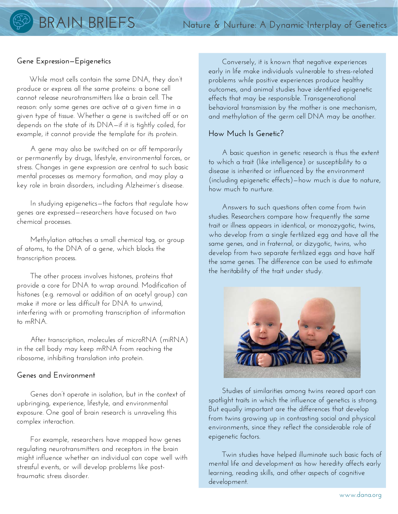### **Gene Expression—Epigenetics**

 While most cells contain the same DNA, they don't produce or express all the same proteins: a bone cell cannot release neurotransmitters like a brain cell. The reason: only some genes are active at a given time in a given type of tissue. Whether a gene is switched off or on depends on the state of its DNA—if it is tightly coiled, for example, it cannot provide the template for its protein.

 A gene may also be switched on or off temporarily or permanently by drugs, lifestyle, environmental forces, or stress. Changes in gene expression are central to such basic mental processes as memory formation, and may play a key role in brain disorders, including Alzheimer's disease.

 In studying epigenetics—the factors that regulate how genes are expressed—researchers have focused on two chemical processes.

 Methylation attaches a small chemical tag, or group of atoms, to the DNA of a gene, which blocks the transcription process.

 The other process involves histones, proteins that provide a core for DNA to wrap around. Modification of histones (e.g. removal or addition of an acetyl group) can make it more or less difficult for DNA to unwind, interfering with or promoting transcription of information to mRNA.

 After transcription, molecules of microRNA (miRNA) in the cell body may keep mRNA from reaching the ribosome, inhibiting translation into protein.

#### **Genes and Environment**

 Genes don't operate in isolation, but in the context of upbringing, experience, lifestyle, and environmental exposure. One goal of brain research is unraveling this complex interaction.

 For example, researchers have mapped how genes regulating neurotransmitters and receptors in the brain might influence whether an individual can cope well with stressful events, or will develop problems like posttraumatic stress disorder.

 Conversely, it is known that negative experiences early in life make individuals vulnerable to stress-related problems while positive experiences produce healthy outcomes, and animal studies have identified epigenetic effects that may be responsible. Transgenerational behavioral transmission by the mother is one mechanism, and methylation of the germ cell DNA may be another.

#### **How Much Is Genetic?**

 A basic question in genetic research is thus the extent to which a trait (like intelligence) or susceptibility to a disease is inherited or influenced by the environment (including epigenetic effects)—how much is due to nature, how much to nurture.

 Answers to such questions often come from twin studies. Researchers compare how frequently the same trait or illness appears in identical, or monozygotic, twins, who develop from a single fertilized egg and have all the same genes, and in fraternal, or dizygotic, twins, who develop from two separate fertilized eggs and have half the same genes. The difference can be used to estimate the heritability of the trait under study.



 Studies of similarities among twins reared apart can spotlight traits in which the influence of genetics is strong. But equally important are the differences that develop from twins growing up in contrasting social and physical environments, since they reflect the considerable role of epigenetic factors.

 Twin studies have helped illuminate such basic facts of mental life and development as how heredity affects early learning, reading skills, and other aspects of cognitive development.